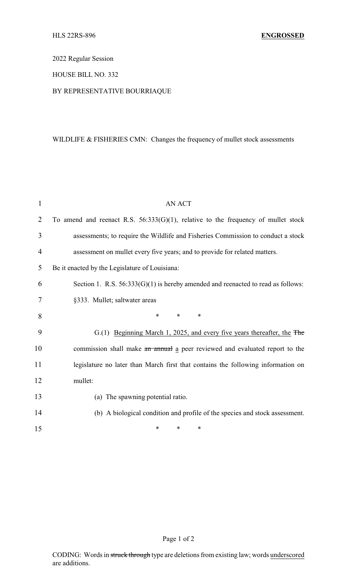2022 Regular Session

## HOUSE BILL NO. 332

## BY REPRESENTATIVE BOURRIAQUE

## WILDLIFE & FISHERIES CMN: Changes the frequency of mullet stock assessments

| 1              | <b>AN ACT</b>                                                                        |
|----------------|--------------------------------------------------------------------------------------|
| $\overline{2}$ | To amend and reenact R.S. $56:333(G)(1)$ , relative to the frequency of mullet stock |
| 3              | assessments; to require the Wildlife and Fisheries Commission to conduct a stock     |
| $\overline{4}$ | assessment on mullet every five years; and to provide for related matters.           |
| 5              | Be it enacted by the Legislature of Louisiana:                                       |
| 6              | Section 1. R.S. $56:333(G)(1)$ is hereby amended and reenacted to read as follows:   |
| 7              | §333. Mullet; saltwater areas                                                        |
| 8              | $\ast$<br>$\ast$<br>*                                                                |
| 9              | G.(1) Beginning March 1, 2025, and every five years thereafter, the The              |
| 10             | commission shall make an annual a peer reviewed and evaluated report to the          |
| 11             | legislature no later than March first that contains the following information on     |
| 12             | mullet:                                                                              |
| 13             | (a) The spawning potential ratio.                                                    |
| 14             | (b) A biological condition and profile of the species and stock assessment.          |
| 15             | *<br>*<br>∗                                                                          |